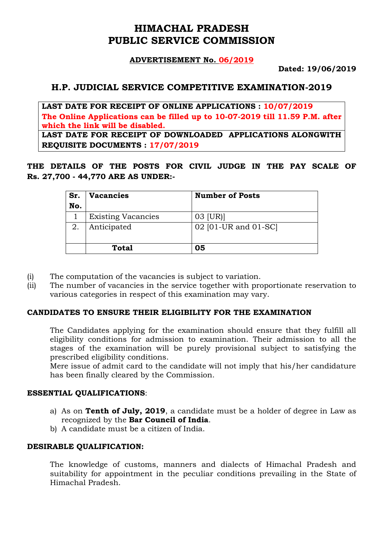# **HIMACHAL PRADESH PUBLIC SERVICE COMMISSION**

#### **ADVERTISEMENT No. 06/2019**

**Dated: 19/06/2019**

# **H.P. JUDICIAL SERVICE COMPETITIVE EXAMINATION-2019**

**LAST DATE FOR RECEIPT OF ONLINE APPLICATIONS : 10/07/2019 The Online Applications can be filled up to 10-07-2019 till 11.59 P.M. after which the link will be disabled. LAST DATE FOR RECEIPT OF DOWNLOADED APPLICATIONS ALONGWITH** 

**REQUISITE DOCUMENTS : 17/07/2019**

**THE DETAILS OF THE POSTS FOR CIVIL JUDGE IN THE PAY SCALE OF Rs. 27,700 - 44,770 ARE AS UNDER:-**

| Sr.<br>No. | <b>Vacancies</b>          | <b>Number of Posts</b> |
|------------|---------------------------|------------------------|
|            | <b>Existing Vacancies</b> | 03 [UR]                |
| 2.         | Anticipated               | 02 [01-UR and 01-SC]   |
|            | Total                     | 05                     |

- (i) The computation of the vacancies is subject to variation.
- (ii) The number of vacancies in the service together with proportionate reservation to various categories in respect of this examination may vary.

#### **CANDIDATES TO ENSURE THEIR ELIGIBILITY FOR THE EXAMINATION**

The Candidates applying for the examination should ensure that they fulfill all eligibility conditions for admission to examination. Their admission to all the stages of the examination will be purely provisional subject to satisfying the prescribed eligibility conditions.

Mere issue of admit card to the candidate will not imply that his/her candidature has been finally cleared by the Commission.

#### **ESSENTIAL QUALIFICATIONS**:

- a) As on **Tenth of July, 2019**, a candidate must be a holder of degree in Law as recognized by the **Bar Council of India**.
- b) A candidate must be a citizen of India.

#### **DESIRABLE QUALIFICATION:**

The knowledge of customs, manners and dialects of Himachal Pradesh and suitability for appointment in the peculiar conditions prevailing in the State of Himachal Pradesh.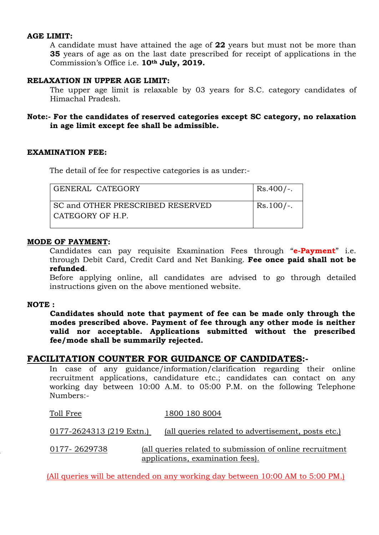#### **AGE LIMIT:**

A candidate must have attained the age of **22** years but must not be more than **35** years of age as on the last date prescribed for receipt of applications in the Commission's Office i.e. **10th July, 2019.**

#### **RELAXATION IN UPPER AGE LIMIT:**

The upper age limit is relaxable by 03 years for S.C. category candidates of Himachal Pradesh.

#### **Note:- For the candidates of reserved categories except SC category, no relaxation in age limit except fee shall be admissible.**

#### **EXAMINATION FEE:**

The detail of fee for respective categories is as under:-

| GENERAL CATEGORY                 | $Rs.400/-.$ |
|----------------------------------|-------------|
| SC and OTHER PRESCRIBED RESERVED | $Rs.100/-.$ |
| CATEGORY OF H.P.                 |             |
|                                  |             |

#### **MODE OF PAYMENT:**

Candidates can pay requisite Examination Fees through "**e-Payment**" i.e. through Debit Card, Credit Card and Net Banking. **Fee once paid shall not be refunded**.

Before applying online, all candidates are advised to go through detailed instructions given on the above mentioned website.

#### **NOTE :**

**Candidates should note that payment of fee can be made only through the modes prescribed above. Payment of fee through any other mode is neither valid nor acceptable. Applications submitted without the prescribed fee/mode shall be summarily rejected.** 

#### **FACILITATION COUNTER FOR GUIDANCE OF CANDIDATES:-**

In case of any guidance/information/clarification regarding their online recruitment applications, candidature etc.; candidates can contact on any working day between 10:00 A.M. to 05:00 P.M. on the following Telephone Numbers:-

| Toll Free                | 1800 180 8004                                                                                 |
|--------------------------|-----------------------------------------------------------------------------------------------|
| 0177-2624313 (219 Extn.) | (all queries related to advertisement, posts etc.)                                            |
| 0177-2629738             | (all queries related to submission of online recruitment)<br>applications, examination fees). |

(All queries will be attended on any working day between 10:00 AM to 5:00 PM.)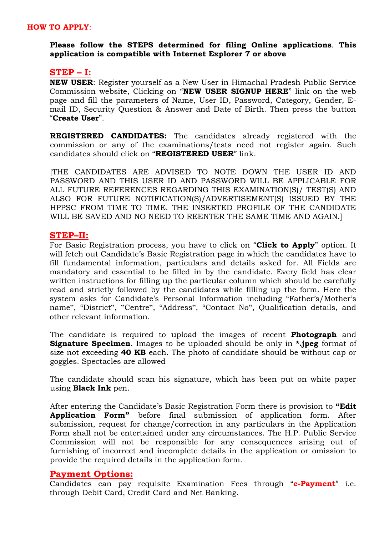#### **HOW TO APPLY**:

#### **Please follow the STEPS determined for filing Online applications**. **This application is compatible with Internet Explorer 7 or above**

#### **STEP – I:**

**NEW USER**: Register yourself as a New User in Himachal Pradesh Public Service Commission website, Clicking on "**NEW USER SIGNUP HERE**" link on the web page and fill the parameters of Name, User ID, Password, Category, Gender, Email ID, Security Question & Answer and Date of Birth. Then press the button "**Create User**".

**REGISTERED CANDIDATES:** The candidates already registered with the commission or any of the examinations/tests need not register again. Such candidates should click on "**REGISTERED USER**" link.

[THE CANDIDATES ARE ADVISED TO NOTE DOWN THE USER ID AND PASSWORD AND THIS USER ID AND PASSWORD WILL BE APPLICABLE FOR ALL FUTURE REFERENCES REGARDING THIS EXAMINATION(S)/ TEST(S) AND ALSO FOR FUTURE NOTIFICATION(S)/ADVERTISEMENT(S) ISSUED BY THE HPPSC FROM TIME TO TIME. THE INSERTED PROFILE OF THE CANDIDATE WILL BE SAVED AND NO NEED TO REENTER THE SAME TIME AND AGAIN.]

#### **STEP–II:**

For Basic Registration process, you have to click on "**Click to Apply**" option. It will fetch out Candidate's Basic Registration page in which the candidates have to fill fundamental information, particulars and details asked for. All Fields are mandatory and essential to be filled in by the candidate. Every field has clear written instructions for filling up the particular column which should be carefully read and strictly followed by the candidates while filling up the form. Here the system asks for Candidate's Personal Information including "Father's/Mother's name", "District", "Centre", "Address", "Contact No", Qualification details, and other relevant information.

The candidate is required to upload the images of recent **Photograph** and **Signature Specimen**. Images to be uploaded should be only in **\*.jpeg** format of size not exceeding **40 KB** each. The photo of candidate should be without cap or goggles. Spectacles are allowed

The candidate should scan his signature, which has been put on white paper using **Black Ink** pen.

After entering the Candidate's Basic Registration Form there is provision to **"Edit Application Form"** before final submission of application form. After submission, request for change/correction in any particulars in the Application Form shall not be entertained under any circumstances. The H.P. Public Service Commission will not be responsible for any consequences arising out of furnishing of incorrect and incomplete details in the application or omission to provide the required details in the application form.

## **Payment Options:**

Candidates can pay requisite Examination Fees through "**e-Payment**" i.e. through Debit Card, Credit Card and Net Banking.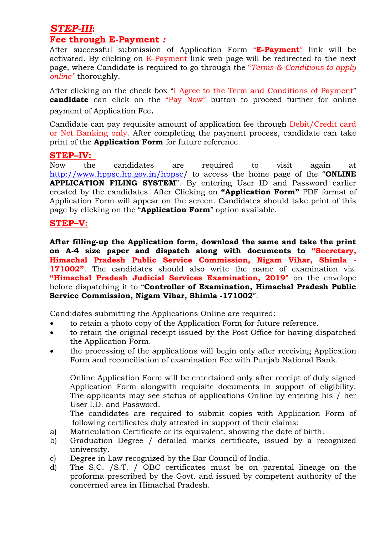# *STEP-III***:**

# **Fee through E-Payment** *:*

After successful submission of Application Form "**E-Payment**" link will be activated. By clicking on E-Payment link web page will be redirected to the next page, where Candidate is required to go through the "*Terms & Conditions to apply online"* thoroughly.

After clicking on the check box "I Agree to the Term and Conditions of Payment" **candidate** can click on the "Pay Now" button to proceed further for online payment of Application Fee.

Candidate can pay requisite amount of application fee through Debit/Credit card or Net Banking only. After completing the payment process, candidate can take print of the **Application Form** for future reference.

# **STEP–IV:**

Now the candidates are required to visit again at <http://www.hppsc.hp.gov.in/hppsc>/ to access the home page of the "**ONLINE APPLICATION FILING SYSTEM**". By entering User ID and Password earlier created by the candidates. After Clicking on **"Application Form"** PDF format of Application Form will appear on the screen. Candidates should take print of this page by clicking on the "**Application Form**" option available.

# **STEP–V:**

**After filling-up the Application form, download the same and take the print on A-4 size paper and dispatch along with documents to "Secretary, Himachal Pradesh Public Service Commission, Nigam Vihar, Shimla - 171002"**. The candidates should also write the name of examination viz. **"Himachal Pradesh Judicial Services Examination, 2019"** on the envelope before dispatching it to "**Controller of Examination, Himachal Pradesh Public Service Commission, Nigam Vihar, Shimla -171002**".

Candidates submitting the Applications Online are required:

- to retain a photo copy of the Application Form for future reference.
- to retain the original receipt issued by the Post Office for having dispatched the Application Form.
- the processing of the applications will begin only after receiving Application Form and reconciliation of examination Fee with Punjab National Bank.

Online Application Form will be entertained only after receipt of duly signed Application Form alongwith requisite documents in support of eligibility. The applicants may see status of applications Online by entering his / her User I.D. and Password.

The candidates are required to submit copies with Application Form of following certificates duly attested in support of their claims:

- a) Matriculation Certificate or its equivalent, showing the date of birth.
- b) Graduation Degree / detailed marks certificate, issued by a recognized university.
- c) Degree in Law recognized by the Bar Council of India.
- d) The S.C. /S.T. / OBC certificates must be on parental lineage on the proforma prescribed by the Govt. and issued by competent authority of the concerned area in Himachal Pradesh.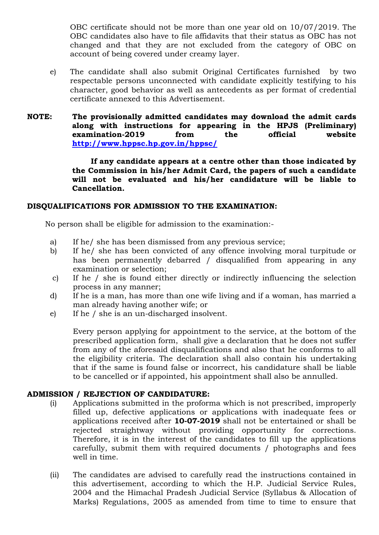OBC certificate should not be more than one year old on 10/07/2019. The OBC candidates also have to file affidavits that their status as OBC has not changed and that they are not excluded from the category of OBC on account of being covered under creamy layer.

- e) The candidate shall also submit Original Certificates furnished by two respectable persons unconnected with candidate explicitly testifying to his character, good behavior as well as antecedents as per format of credential certificate annexed to this Advertisement.
- **NOTE: The provisionally admitted candidates may download the admit cards along with instructions for appearing in the HPJS (Preliminary) examination-2019 from the official website <http://www.hppsc.hp.gov.in/hppsc/>**

**If any candidate appears at a centre other than those indicated by the Commission in his/her Admit Card, the papers of such a candidate will not be evaluated and his/her candidature will be liable to Cancellation.**

#### **DISQUALIFICATIONS FOR ADMISSION TO THE EXAMINATION:**

No person shall be eligible for admission to the examination:-

- a) If he/ she has been dismissed from any previous service;
- b) If he/ she has been convicted of any offence involving moral turpitude or has been permanently debarred / disqualified from appearing in any examination or selection;
- c) If he / she is found either directly or indirectly influencing the selection process in any manner;
- d) If he is a man, has more than one wife living and if a woman, has married a man already having another wife; or
- e) If he / she is an un-discharged insolvent.

Every person applying for appointment to the service, at the bottom of the prescribed application form, shall give a declaration that he does not suffer from any of the aforesaid disqualifications and also that he conforms to all the eligibility criteria. The declaration shall also contain his undertaking that if the same is found false or incorrect, his candidature shall be liable to be cancelled or if appointed, his appointment shall also be annulled.

#### **ADMISSION / REJECTION OF CANDIDATURE:**

- (i) Applications submitted in the proforma which is not prescribed, improperly filled up, defective applications or applications with inadequate fees or applications received after **10-07-2019** shall not be entertained or shall be rejected straightway without providing opportunity for corrections. Therefore, it is in the interest of the candidates to fill up the applications carefully, submit them with required documents / photographs and fees well in time.
- (ii) The candidates are advised to carefully read the instructions contained in this advertisement, according to which the H.P. Judicial Service Rules, 2004 and the Himachal Pradesh Judicial Service (Syllabus & Allocation of Marks) Regulations, 2005 as amended from time to time to ensure that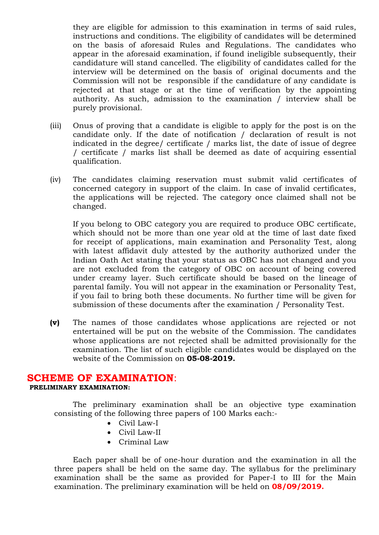they are eligible for admission to this examination in terms of said rules, instructions and conditions. The eligibility of candidates will be determined on the basis of aforesaid Rules and Regulations. The candidates who appear in the aforesaid examination, if found ineligible subsequently, their candidature will stand cancelled. The eligibility of candidates called for the interview will be determined on the basis of original documents and the Commission will not be responsible if the candidature of any candidate is rejected at that stage or at the time of verification by the appointing authority. As such, admission to the examination / interview shall be purely provisional.

- (iii) Onus of proving that a candidate is eligible to apply for the post is on the candidate only. If the date of notification / declaration of result is not indicated in the degree/ certificate / marks list, the date of issue of degree / certificate / marks list shall be deemed as date of acquiring essential qualification.
- (iv) The candidates claiming reservation must submit valid certificates of concerned category in support of the claim. In case of invalid certificates, the applications will be rejected. The category once claimed shall not be changed.

If you belong to OBC category you are required to produce OBC certificate, which should not be more than one year old at the time of last date fixed for receipt of applications, main examination and Personality Test, along with latest affidavit duly attested by the authority authorized under the Indian Oath Act stating that your status as OBC has not changed and you are not excluded from the category of OBC on account of being covered under creamy layer. Such certificate should be based on the lineage of parental family. You will not appear in the examination or Personality Test, if you fail to bring both these documents. No further time will be given for submission of these documents after the examination / Personality Test.

**(v)** The names of those candidates whose applications are rejected or not entertained will be put on the website of the Commission. The candidates whose applications are not rejected shall be admitted provisionally for the examination. The list of such eligible candidates would be displayed on the website of the Commission on **05-08-2019.**

## **SCHEME OF EXAMINATION**:

**PRELIMINARY EXAMINATION:**

The preliminary examination shall be an objective type examination consisting of the following three papers of 100 Marks each:-

- Civil Law-I
- Civil Law-II
- Criminal Law

Each paper shall be of one-hour duration and the examination in all the three papers shall be held on the same day. The syllabus for the preliminary examination shall be the same as provided for Paper-I to III for the Main examination. The preliminary examination will be held on **08/09/2019.**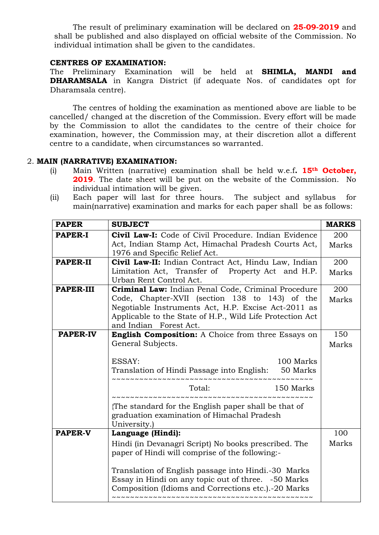The result of preliminary examination will be declared on **25-09-2019** and shall be published and also displayed on official website of the Commission. No individual intimation shall be given to the candidates.

#### **CENTRES OF EXAMINATION:**

The Preliminary Examination will be held at **SHIMLA, MANDI and DHARAMSALA** in Kangra District (if adequate Nos. of candidates opt for Dharamsala centre).

The centres of holding the examination as mentioned above are liable to be cancelled/ changed at the discretion of the Commission. Every effort will be made by the Commission to allot the candidates to the centre of their choice for examination, however, the Commission may, at their discretion allot a different centre to a candidate, when circumstances so warranted.

#### 2. **MAIN (NARRATIVE) EXAMINATION:**

- (i) Main Written (narrative) examination shall be held w.e.f**. 15th October, 2019**. The date sheet will be put on the website of the Commission. No individual intimation will be given.
- (ii) Each paper will last for three hours. The subject and syllabus for main(narrative) examination and marks for each paper shall be as follows:

| <b>PAPER</b>     | <b>SUBJECT</b>                                                                                             | <b>MARKS</b> |  |  |  |  |  |
|------------------|------------------------------------------------------------------------------------------------------------|--------------|--|--|--|--|--|
| <b>PAPER-I</b>   | Civil Law-I: Code of Civil Procedure. Indian Evidence                                                      |              |  |  |  |  |  |
|                  | Act, Indian Stamp Act, Himachal Pradesh Courts Act,                                                        | Marks        |  |  |  |  |  |
|                  | 1976 and Specific Relief Act.                                                                              |              |  |  |  |  |  |
| <b>PAPER-II</b>  | Civil Law-II: Indian Contract Act, Hindu Law, Indian                                                       | 200          |  |  |  |  |  |
|                  | Limitation Act, Transfer of Property Act and H.P.                                                          | Marks        |  |  |  |  |  |
|                  | Urban Rent Control Act.                                                                                    | 200          |  |  |  |  |  |
| <b>PAPER-III</b> | Criminal Law: Indian Penal Code, Criminal Procedure                                                        |              |  |  |  |  |  |
|                  | Code, Chapter-XVII (section 138 to 143) of the                                                             | Marks        |  |  |  |  |  |
|                  | Negotiable Instruments Act, H.P. Excise Act-2011 as                                                        |              |  |  |  |  |  |
|                  | Applicable to the State of H.P., Wild Life Protection Act                                                  |              |  |  |  |  |  |
|                  | and Indian Forest Act.                                                                                     | 150          |  |  |  |  |  |
| <b>PAPER-IV</b>  | English Composition: A Choice from three Essays on                                                         |              |  |  |  |  |  |
|                  | General Subjects.                                                                                          | Marks        |  |  |  |  |  |
|                  |                                                                                                            |              |  |  |  |  |  |
|                  | ESSAY:<br>100 Marks                                                                                        |              |  |  |  |  |  |
|                  | Translation of Hindi Passage into English: 50 Marks<br>~~~~~~~~~~~~~~~~~~~~~~~~~~~~~~~~~~                  |              |  |  |  |  |  |
|                  | Total:<br>150 Marks                                                                                        |              |  |  |  |  |  |
|                  |                                                                                                            |              |  |  |  |  |  |
|                  | The standard for the English paper shall be that of                                                        |              |  |  |  |  |  |
|                  | graduation examination of Himachal Pradesh                                                                 |              |  |  |  |  |  |
|                  | University.)                                                                                               |              |  |  |  |  |  |
| <b>PAPER-V</b>   | Language (Hindi):                                                                                          | 100<br>Marks |  |  |  |  |  |
|                  | Hindi (in Devanagri Script) No books prescribed. The                                                       |              |  |  |  |  |  |
|                  | paper of Hindi will comprise of the following:-                                                            |              |  |  |  |  |  |
|                  |                                                                                                            |              |  |  |  |  |  |
|                  | Translation of English passage into Hindi.-30 Marks<br>Essay in Hindi on any topic out of three. -50 Marks |              |  |  |  |  |  |
|                  |                                                                                                            |              |  |  |  |  |  |
|                  | Composition (Idioms and Corrections etc.). -20 Marks                                                       |              |  |  |  |  |  |
|                  |                                                                                                            |              |  |  |  |  |  |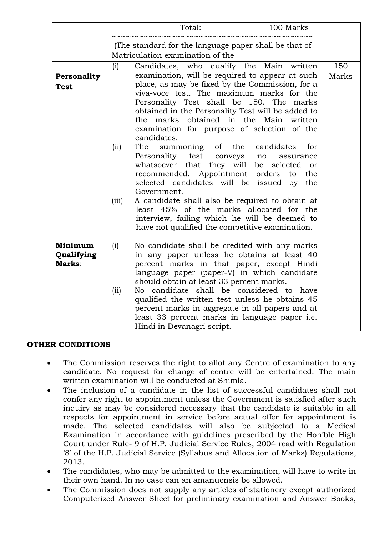|                                        | 100 Marks<br>Total:                                                                                                                                                                                                                                                                                                                                                                                                                                                                                                                                                                                                                                                                                                                                                                                                                                                                                    |              |  |  |  |  |
|----------------------------------------|--------------------------------------------------------------------------------------------------------------------------------------------------------------------------------------------------------------------------------------------------------------------------------------------------------------------------------------------------------------------------------------------------------------------------------------------------------------------------------------------------------------------------------------------------------------------------------------------------------------------------------------------------------------------------------------------------------------------------------------------------------------------------------------------------------------------------------------------------------------------------------------------------------|--------------|--|--|--|--|
|                                        | (The standard for the language paper shall be that of<br>Matriculation examination of the                                                                                                                                                                                                                                                                                                                                                                                                                                                                                                                                                                                                                                                                                                                                                                                                              |              |  |  |  |  |
| Personality<br><b>Test</b>             | (i)<br>Candidates, who qualify the Main written<br>examination, will be required to appear at such<br>place, as may be fixed by the Commission, for a<br>viva-voce test. The maximum marks for the<br>Personality Test shall be 150. The marks<br>obtained in the Personality Test will be added to<br>the marks obtained in the Main written<br>examination for purpose of selection of the<br>candidates.<br>the<br>summoning<br>of<br>candidates<br>for<br>(iii)<br>The<br>Personality<br>test<br>conveys<br>no<br>assurance<br>whatsoever that they will be selected<br>or<br>recommended. Appointment<br>orders to<br>the<br>selected candidates will be issued by the<br>Government.<br>(iii)<br>A candidate shall also be required to obtain at<br>least 45% of the marks allocated for the<br>interview, failing which he will be deemed to<br>have not qualified the competitive examination. | 150<br>Marks |  |  |  |  |
| <b>Minimum</b><br>Qualifying<br>Marks: | No candidate shall be credited with any marks<br>(i)<br>in any paper unless he obtains at least 40<br>percent marks in that paper, except Hindi<br>language paper (paper-V) in which candidate<br>should obtain at least 33 percent marks.<br>No candidate shall be considered to have<br>(ii)<br>qualified the written test unless he obtains 45<br>percent marks in aggregate in all papers and at<br>least 33 percent marks in language paper i.e.<br>Hindi in Devanagri script.                                                                                                                                                                                                                                                                                                                                                                                                                    |              |  |  |  |  |

#### **OTHER CONDITIONS**

- The Commission reserves the right to allot any Centre of examination to any candidate. No request for change of centre will be entertained. The main written examination will be conducted at Shimla.
- The inclusion of a candidate in the list of successful candidates shall not confer any right to appointment unless the Government is satisfied after such inquiry as may be considered necessary that the candidate is suitable in all respects for appointment in service before actual offer for appointment is made. The selected candidates will also be subjected to a Medical Examination in accordance with guidelines prescribed by the Hon'ble High Court under Rule- 9 of H.P. Judicial Service Rules, 2004 read with Regulation '8' of the H.P. Judicial Service (Syllabus and Allocation of Marks) Regulations, 2013.
- The candidates, who may be admitted to the examination, will have to write in their own hand. In no case can an amanuensis be allowed.
- The Commission does not supply any articles of stationery except authorized Computerized Answer Sheet for preliminary examination and Answer Books,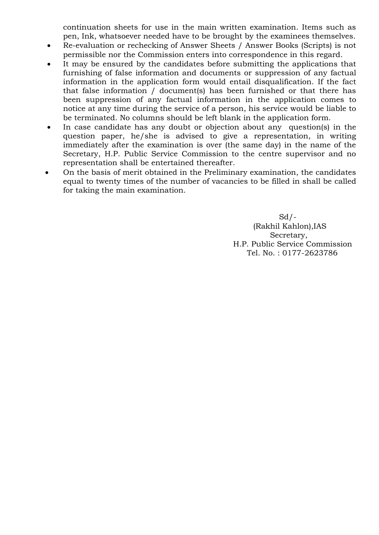continuation sheets for use in the main written examination. Items such as pen, Ink, whatsoever needed have to be brought by the examinees themselves.

- Re-evaluation or rechecking of Answer Sheets / Answer Books (Scripts) is not permissible nor the Commission enters into correspondence in this regard.
- It may be ensured by the candidates before submitting the applications that furnishing of false information and documents or suppression of any factual information in the application form would entail disqualification. If the fact that false information / document(s) has been furnished or that there has been suppression of any factual information in the application comes to notice at any time during the service of a person, his service would be liable to be terminated. No columns should be left blank in the application form.
- In case candidate has any doubt or objection about any question(s) in the question paper, he/she is advised to give a representation, in writing immediately after the examination is over (the same day) in the name of the Secretary, H.P. Public Service Commission to the centre supervisor and no representation shall be entertained thereafter.
- On the basis of merit obtained in the Preliminary examination, the candidates equal to twenty times of the number of vacancies to be filled in shall be called for taking the main examination.

 $Sd$  /-(Rakhil Kahlon),IAS Secretary, H.P. Public Service Commission Tel. No. : 0177-2623786